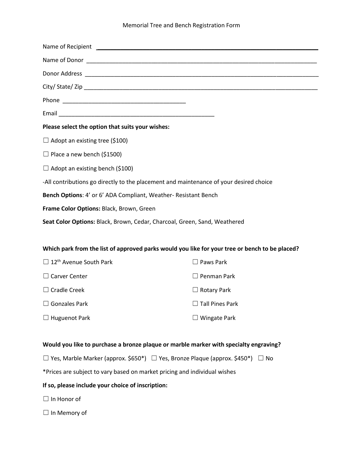#### Memorial Tree and Bench Registration Form

| Please select the option that suits your wishes:                                       |
|----------------------------------------------------------------------------------------|
| $\Box$ Adopt an existing tree (\$100)                                                  |
| $\Box$ Place a new bench (\$1500)                                                      |
| $\Box$ Adopt an existing bench (\$100)                                                 |
| -All contributions go directly to the placement and maintenance of your desired choice |
| Bench Options: 4' or 6' ADA Compliant, Weather- Resistant Bench                        |
| Frame Color Options: Black, Brown, Green                                               |
| Seat Color Options: Black, Brown, Cedar, Charcoal, Green, Sand, Weathered              |
|                                                                                        |

### **Which park from the list of approved parks would you like for your tree or bench to be placed?**

| $\Box$ 12 <sup>th</sup> Avenue South Park | $\Box$ Paws Park       |
|-------------------------------------------|------------------------|
| $\Box$ Carver Center                      | $\Box$ Penman Park     |
| $\Box$ Cradle Creek                       | $\Box$ Rotary Park     |
| $\Box$ Gonzales Park                      | $\Box$ Tall Pines Park |
| $\Box$ Huguenot Park                      | $\Box$ Wingate Park    |

## **Would you like to purchase a bronze plaque or marble marker with specialty engraving?**

☐ Yes, Marble Marker (approx. \$650\*) ☐ Yes, Bronze Plaque (approx. \$450\*) ☐ No

\*Prices are subject to vary based on market pricing and individual wishes

### **If so, please include your choice of inscription:**

☐ In Honor of

☐ In Memory of